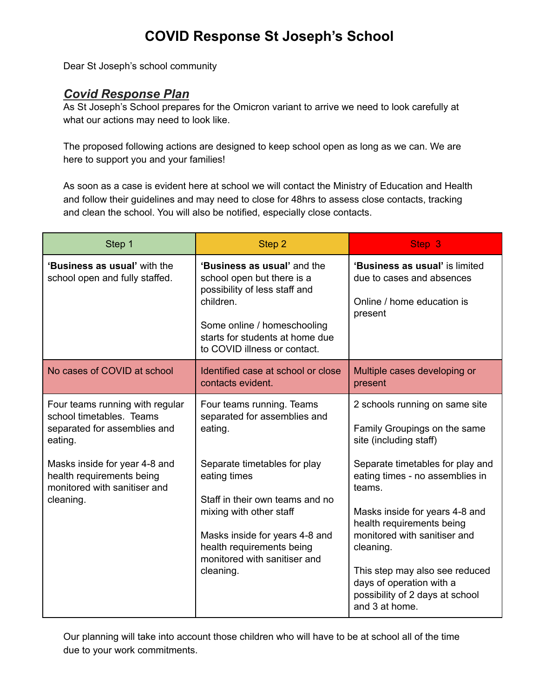## **COVID Response St Joseph's School**

Dear St Joseph's school community

## *Covid Response Plan*

As St Joseph's School prepares for the Omicron variant to arrive we need to look carefully at what our actions may need to look like.

The proposed following actions are designed to keep school open as long as we can. We are here to support you and your families!

As soon as a case is evident here at school we will contact the Ministry of Education and Health and follow their guidelines and may need to close for 48hrs to assess close contacts, tracking and clean the school. You will also be notified, especially close contacts.

| Step 1                                                                                                                                  | Step 2                                                                                                                                                                                                    | Step 3                                                                                                                                                |
|-----------------------------------------------------------------------------------------------------------------------------------------|-----------------------------------------------------------------------------------------------------------------------------------------------------------------------------------------------------------|-------------------------------------------------------------------------------------------------------------------------------------------------------|
| 'Business as usual' with the<br>school open and fully staffed.                                                                          | 'Business as usual' and the<br>school open but there is a<br>possibility of less staff and<br>children.<br>Some online / homeschooling<br>starts for students at home due<br>to COVID illness or contact. | 'Business as usual' is limited<br>due to cases and absences<br>Online / home education is<br>present                                                  |
| No cases of COVID at school                                                                                                             | Identified case at school or close<br>contacts evident.                                                                                                                                                   | Multiple cases developing or<br>present                                                                                                               |
| Four teams running with regular<br>school timetables. Teams<br>separated for assemblies and<br>eating.<br>Masks inside for year 4-8 and | Four teams running. Teams<br>separated for assemblies and<br>eating.<br>Separate timetables for play                                                                                                      | 2 schools running on same site<br>Family Groupings on the same<br>site (including staff)<br>Separate timetables for play and                          |
| health requirements being<br>monitored with sanitiser and<br>cleaning.                                                                  | eating times<br>Staff in their own teams and no<br>mixing with other staff<br>Masks inside for years 4-8 and<br>health requirements being<br>monitored with sanitiser and                                 | eating times - no assemblies in<br>teams.<br>Masks inside for years 4-8 and<br>health requirements being<br>monitored with sanitiser and<br>cleaning. |
|                                                                                                                                         | cleaning.                                                                                                                                                                                                 | This step may also see reduced<br>days of operation with a<br>possibility of 2 days at school<br>and 3 at home.                                       |

Our planning will take into account those children who will have to be at school all of the time due to your work commitments.